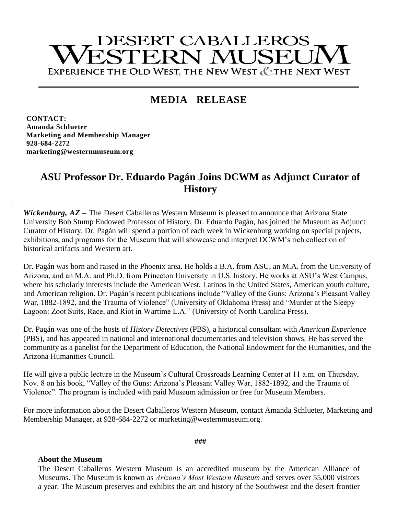# **DESERT CABALLEROS** ESTERN MUSEU EXPERIENCE THE OLD WEST, THE NEW WEST & THE NEXT WEST

## **MEDIA RELEASE**

**CONTACT: Amanda Schlueter Marketing and Membership Manager 928-684-2272 marketing@westernmuseum.org**

### **ASU Professor Dr. Eduardo Pagán Joins DCWM as Adjunct Curator of History**

*Wickenburg, AZ* **–** The Desert Caballeros Western Museum is pleased to announce that Arizona State University Bob Stump Endowed Professor of History, Dr. Eduardo Pagán, has joined the Museum as Adjunct Curator of History. Dr. Pagán will spend a portion of each week in Wickenburg working on special projects, exhibitions, and programs for the Museum that will showcase and interpret DCWM's rich collection of historical artifacts and Western art.

Dr. Pagán was born and raised in the Phoenix area. He holds a B.A. from ASU, an M.A. from the University of Arizona, and an M.A. and Ph.D. from Princeton University in U.S. history. He works at ASU's West Campus, where his scholarly interests include the American West, Latinos in the United States, American youth culture, and American religion. Dr. Pagán's recent publications include "Valley of the Guns: Arizona's Pleasant Valley War, 1882-1892, and the Trauma of Violence" (University of Oklahoma Press) and "Murder at the Sleepy Lagoon: Zoot Suits, Race, and Riot in Wartime L.A." (University of North Carolina Press).

Dr. Pagán was one of the hosts of *History Detectives* (PBS), a historical consultant with *American Experience* (PBS), and has appeared in national and international documentaries and television shows. He has served the community as a panelist for the Department of Education, the National Endowment for the Humanities, and the Arizona Humanities Council.

He will give a public lecture in the Museum's Cultural Crossroads Learning Center at 11 a.m. on Thursday, Nov. 8 on his book, "Valley of the Guns: Arizona's Pleasant Valley War, 1882-1892, and the Trauma of Violence". The program is included with paid Museum admission or free for Museum Members.

For more information about the Desert Caballeros Western Museum, contact Amanda Schlueter, Marketing and Membership Manager, at 928-684-2272 or marketing@westernmuseum.org.

**###**

#### **About the Museum**

The Desert Caballeros Western Museum is an accredited museum by the American Alliance of Museums. The Museum is known as *Arizona's Most Western Museum* and serves over 55,000 visitors a year. The Museum preserves and exhibits the art and history of the Southwest and the desert frontier